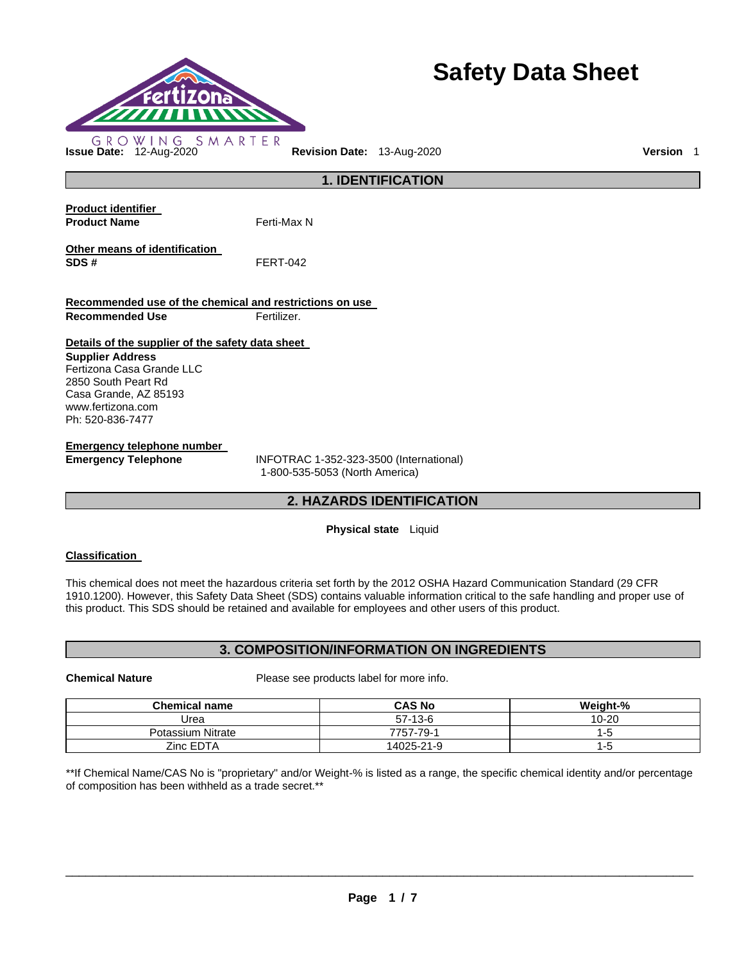

# **Safety Data Sheet**

**1. IDENTIFICATION Product identifier Product Name Ferti-Max N** 

**Other means of identification SDS #** FERT-042

**Recommended use of the chemical and restrictions on use Recommended Use <b>Fertilizer.** 

### **Details of the supplier of the safety data sheet**

### **Supplier Address** Fertizona Casa Grande LLC 2850 South Peart Rd Casa Grande, AZ 85193 www.fertizona.com Ph: 520-836-7477

**Emergency telephone number** 

**Emergency Telephone** INFOTRAC 1-352-323-3500 (International) 1-800-535-5053 (North America)

# **2. HAZARDS IDENTIFICATION**

### **Physical state** Liquid

# **Classification**

This chemical does not meet the hazardous criteria set forth by the 2012 OSHA Hazard Communication Standard (29 CFR 1910.1200). However, this Safety Data Sheet (SDS) contains valuable information critical to the safe handling and proper use of this product. This SDS should be retained and available for employees and other users of this product.

### **3. COMPOSITION/INFORMATION ON INGREDIENTS**

**Chemical Nature** Please see products label for more info.

| <b>Chemical name</b> | <b>CAS No</b> | Weight-%  |
|----------------------|---------------|-----------|
| Urea                 | $57-13-6$     | $10 - 20$ |
| Potassium Nitrate    | 7757-79-1     | l - h     |
| Zinc EDTA            | 14025-21-9    | -5        |

\*\*If Chemical Name/CAS No is "proprietary" and/or Weight-% is listed as a range, the specific chemical identity and/or percentage of composition has been withheld as a trade secret.\*\*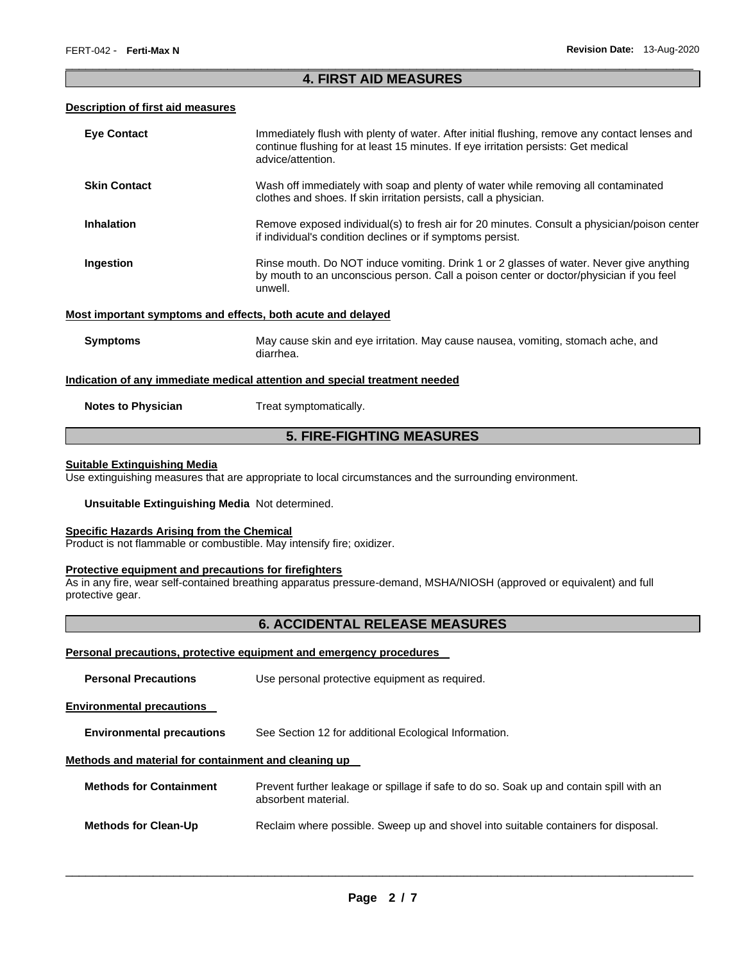### \_\_\_\_\_\_\_\_\_\_\_\_\_\_\_\_\_\_\_\_\_\_\_\_\_\_\_\_\_\_\_\_\_\_\_\_\_\_\_\_\_\_\_\_\_\_\_\_\_\_\_\_\_\_\_\_\_\_\_\_\_\_\_\_\_\_\_\_\_\_\_\_\_\_\_\_\_\_\_\_\_\_\_\_\_\_\_\_\_\_\_\_\_ **4. FIRST AID MEASURES**

### **Description of first aid measures**

| <b>Eye Contact</b>                                                                | Immediately flush with plenty of water. After initial flushing, remove any contact lenses and<br>continue flushing for at least 15 minutes. If eye irritation persists: Get medical<br>advice/attention. |  |
|-----------------------------------------------------------------------------------|----------------------------------------------------------------------------------------------------------------------------------------------------------------------------------------------------------|--|
| <b>Skin Contact</b>                                                               | Wash off immediately with soap and plenty of water while removing all contaminated<br>clothes and shoes. If skin irritation persists, call a physician.                                                  |  |
| <b>Inhalation</b>                                                                 | Remove exposed individual(s) to fresh air for 20 minutes. Consult a physician/poison center<br>if individual's condition declines or if symptoms persist.                                                |  |
| Ingestion                                                                         | Rinse mouth. Do NOT induce vomiting. Drink 1 or 2 glasses of water. Never give anything<br>by mouth to an unconscious person. Call a poison center or doctor/physician if you feel<br>unwell.            |  |
|                                                                                   | Most important symptoms and effects, both acute and delayed                                                                                                                                              |  |
| <b>Symptoms</b>                                                                   | May cause skin and eye irritation. May cause nausea, vomiting, stomach ache, and<br>diarrhea.                                                                                                            |  |
| <u>Indication of any immediate medical attention and special treatment needed</u> |                                                                                                                                                                                                          |  |
| <b>Notes to Physician</b>                                                         | Treat symptomatically.                                                                                                                                                                                   |  |
| <b>5. FIRE-FIGHTING MEASURES</b>                                                  |                                                                                                                                                                                                          |  |

# **Suitable Extinguishing Media**

Use extinguishing measures that are appropriate to local circumstances and the surrounding environment.

### **Unsuitable Extinguishing Media** Not determined.

### **Specific Hazards Arising from the Chemical**

Product is not flammable or combustible. May intensify fire; oxidizer.

### **Protective equipment and precautions for firefighters**

As in any fire, wear self-contained breathing apparatus pressure-demand, MSHA/NIOSH (approved or equivalent) and full protective gear.

# **6. ACCIDENTAL RELEASE MEASURES**

### **Personal precautions, protective equipment and emergency procedures**

| <b>Personal Precautions</b>                          | Use personal protective equipment as required.                                                                 |  |
|------------------------------------------------------|----------------------------------------------------------------------------------------------------------------|--|
| <b>Environmental precautions</b>                     |                                                                                                                |  |
| <b>Environmental precautions</b>                     | See Section 12 for additional Ecological Information.                                                          |  |
| Methods and material for containment and cleaning up |                                                                                                                |  |
| <b>Methods for Containment</b>                       | Prevent further leakage or spillage if safe to do so. Soak up and contain spill with an<br>absorbent material. |  |
| <b>Methods for Clean-Up</b>                          | Reclaim where possible. Sweep up and shovel into suitable containers for disposal.                             |  |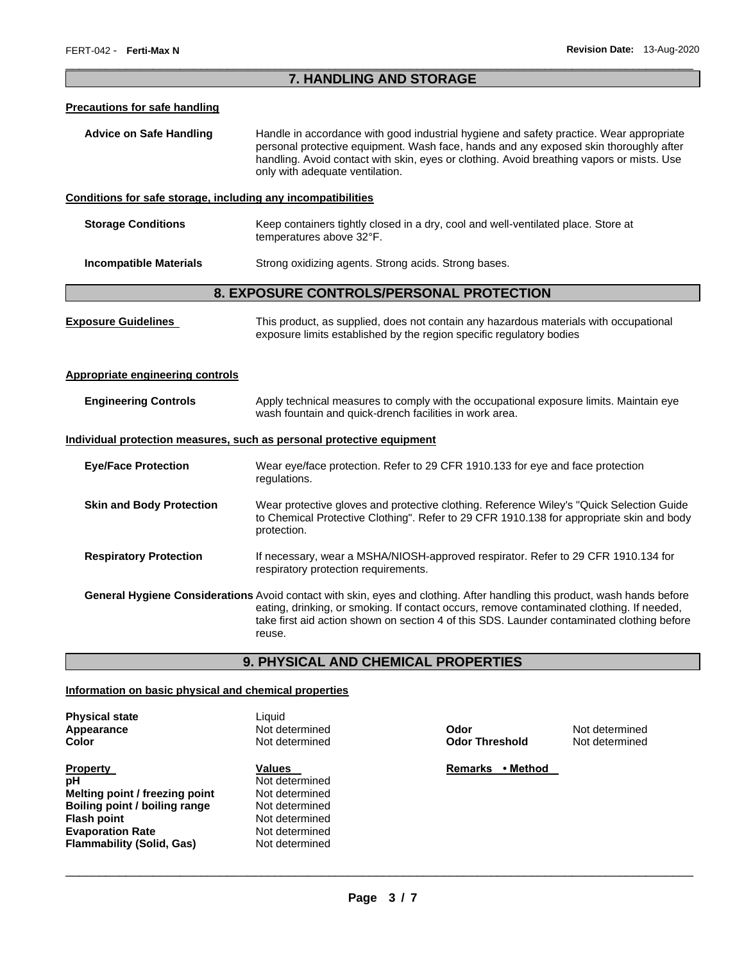### \_\_\_\_\_\_\_\_\_\_\_\_\_\_\_\_\_\_\_\_\_\_\_\_\_\_\_\_\_\_\_\_\_\_\_\_\_\_\_\_\_\_\_\_\_\_\_\_\_\_\_\_\_\_\_\_\_\_\_\_\_\_\_\_\_\_\_\_\_\_\_\_\_\_\_\_\_\_\_\_\_\_\_\_\_\_\_\_\_\_\_\_\_ **7. HANDLING AND STORAGE**

### **Precautions for safe handling**

**Advice on Safe Handling** Handle in accordance with good industrial hygiene and safety practice. Wear appropriate personal protective equipment. Wash face, hands and any exposed skin thoroughly after handling. Avoid contact with skin, eyes or clothing. Avoid breathing vapors or mists. Use only with adequate ventilation.

### **Conditions for safe storage, including any incompatibilities**

| <b>Storage Conditions</b> | Keep containers tightly closed in a dry, cool and well-ventilated place. Store at |
|---------------------------|-----------------------------------------------------------------------------------|
|                           | temperatures above 32°F.                                                          |
|                           |                                                                                   |

# **Incompatible Materials Strong oxidizing agents. Strong acids. Strong bases.**

## **8. EXPOSURE CONTROLS/PERSONAL PROTECTION**

| <b>Exposure Guidelines</b>              | This product, as supplied, does not contain any hazardous materials with occupational<br>exposure limits established by the region specific regulatory bodies                                                                                                                                                                  |  |
|-----------------------------------------|--------------------------------------------------------------------------------------------------------------------------------------------------------------------------------------------------------------------------------------------------------------------------------------------------------------------------------|--|
| <b>Appropriate engineering controls</b> |                                                                                                                                                                                                                                                                                                                                |  |
| <b>Engineering Controls</b>             | Apply technical measures to comply with the occupational exposure limits. Maintain eye<br>wash fountain and quick-drench facilities in work area.                                                                                                                                                                              |  |
|                                         | Individual protection measures, such as personal protective equipment                                                                                                                                                                                                                                                          |  |
| <b>Eye/Face Protection</b>              | Wear eye/face protection. Refer to 29 CFR 1910.133 for eye and face protection<br>regulations.                                                                                                                                                                                                                                 |  |
| <b>Skin and Body Protection</b>         | Wear protective gloves and protective clothing. Reference Wiley's "Quick Selection Guide"<br>to Chemical Protective Clothing". Refer to 29 CFR 1910.138 for appropriate skin and body<br>protection.                                                                                                                           |  |
| <b>Respiratory Protection</b>           | If necessary, wear a MSHA/NIOSH-approved respirator. Refer to 29 CFR 1910.134 for<br>respiratory protection requirements.                                                                                                                                                                                                      |  |
|                                         | General Hygiene Considerations Avoid contact with skin, eyes and clothing. After handling this product, wash hands before<br>eating, drinking, or smoking. If contact occurs, remove contaminated clothing. If needed,<br>take first aid action shown on section 4 of this SDS. Launder contaminated clothing before<br>reuse. |  |

# **9. PHYSICAL AND CHEMICAL PROPERTIES**

### **Information on basic physical and chemical properties**

| <b>Physical state</b>            | Liquid         |
|----------------------------------|----------------|
| Appearance                       | Not determined |
| Color                            | Not determined |
| <b>Property</b>                  | <b>Values</b>  |
| рH                               | Not determined |
| Melting point / freezing point   | Not determined |
| Boiling point / boiling range    | Not determined |
| <b>Flash point</b>               | Not determined |
| <b>Evaporation Rate</b>          | Not determined |
| <b>Flammability (Solid, Gas)</b> | Not determined |

**Odor Threshold Not determined** 

**Apple 2018** Mot determined

**Remarks • Method**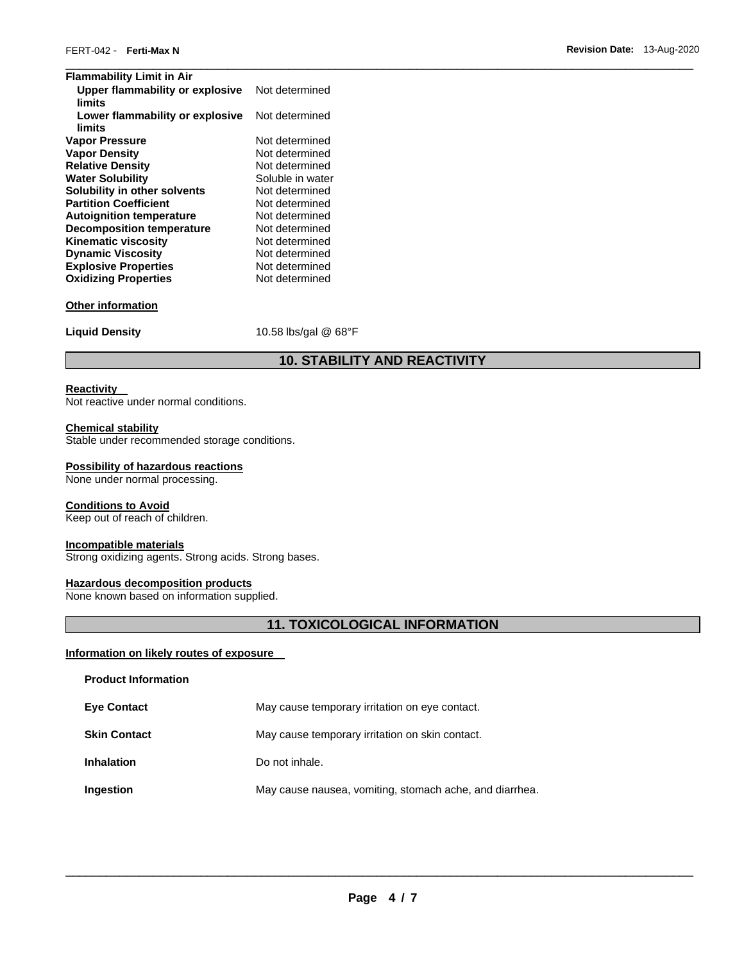| <b>Flammability Limit in Air</b> |                      |
|----------------------------------|----------------------|
| Upper flammability or explosive  | Not determined       |
| limits                           |                      |
| Lower flammability or explosive  | Not determined       |
| limits                           |                      |
| <b>Vapor Pressure</b>            | Not determined       |
| <b>Vapor Density</b>             | Not determined       |
| <b>Relative Density</b>          | Not determined       |
| <b>Water Solubility</b>          | Soluble in water     |
| Solubility in other solvents     | Not determined       |
| <b>Partition Coefficient</b>     | Not determined       |
| <b>Autoignition temperature</b>  | Not determined       |
| <b>Decomposition temperature</b> | Not determined       |
| <b>Kinematic viscosity</b>       | Not determined       |
| <b>Dynamic Viscosity</b>         | Not determined       |
| <b>Explosive Properties</b>      | Not determined       |
| <b>Oxidizing Properties</b>      | Not determined       |
| <b>Other information</b>         |                      |
| <b>Liquid Density</b>            | 10.58 lbs/gal @ 68°F |

# **10. STABILITY AND REACTIVITY**

### **Reactivity**

Not reactive under normal conditions.

### **Chemical stability**

Stable under recommended storage conditions.

### **Possibility of hazardous reactions**

None under normal processing.

### **Conditions to Avoid**

Keep out of reach of children.

### **Incompatible materials**

Strong oxidizing agents. Strong acids. Strong bases.

### **Hazardous decomposition products**

None known based on information supplied.

# **11. TOXICOLOGICAL INFORMATION**

### **Information on likely routes of exposure**

| <b>Product Information</b> |                                                         |
|----------------------------|---------------------------------------------------------|
| <b>Eye Contact</b>         | May cause temporary irritation on eye contact.          |
| <b>Skin Contact</b>        | May cause temporary irritation on skin contact.         |
| <b>Inhalation</b>          | Do not inhale.                                          |
| Ingestion                  | May cause nausea, vomiting, stomach ache, and diarrhea. |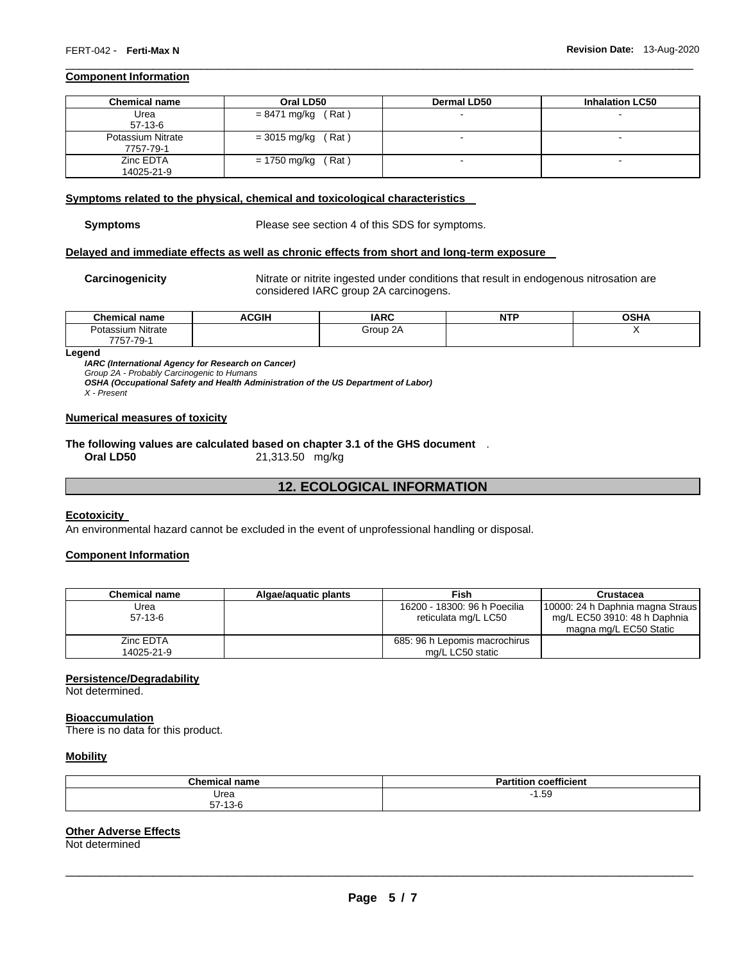### **Component Information**

| <b>Chemical name</b> | Oral LD50               | <b>Dermal LD50</b>       | <b>Inhalation LC50</b> |
|----------------------|-------------------------|--------------------------|------------------------|
| Urea<br>$57-13-6$    | $= 8471$ mg/kg (Rat)    | $\,$                     | ۰                      |
| Potassium Nitrate    | $= 3015$ mg/kg<br>(Rat) |                          | -                      |
| 7757-79-1            |                         |                          |                        |
| Zinc EDTA            | $= 1750$ mg/kg (Rat)    | $\overline{\phantom{a}}$ |                        |
| 14025-21-9           |                         |                          |                        |

\_\_\_\_\_\_\_\_\_\_\_\_\_\_\_\_\_\_\_\_\_\_\_\_\_\_\_\_\_\_\_\_\_\_\_\_\_\_\_\_\_\_\_\_\_\_\_\_\_\_\_\_\_\_\_\_\_\_\_\_\_\_\_\_\_\_\_\_\_\_\_\_\_\_\_\_\_\_\_\_\_\_\_\_\_\_\_\_\_\_\_\_\_

### **Symptoms related to the physical, chemical and toxicological characteristics**

**Symptoms** Please see section 4 of this SDS for symptoms.

### **Delayed and immediate effects as well as chronic effects from short and long-term exposure**

**Carcinogenicity** Nitrate or nitrite ingested under conditions that result in endogenous nitrosation are considered IARC group 2A carcinogens.

| $1$ hem.<br>name<br>mıcal                                                | <b>ACGIH</b> | <b>IARC</b> | <b>NTP</b> | ∩ເ⊔∧<br>ּאחכּ∪ |
|--------------------------------------------------------------------------|--------------|-------------|------------|----------------|
| .<br>Nitrate<br>$\sim$ $\sim$ $\sim$<br><b>JI</b> d<br>7757.70<br>757-79 |              | Group 2A    |            |                |

### **Legend**

*IARC (International Agency for Research on Cancer)*

*Group 2A - Probably Carcinogenic to Humans* 

*OSHA (Occupational Safety and Health Administration of the US Department of Labor)*

*X - Present* 

### **Numerical measures of toxicity**

# **The following values are calculated based on chapter 3.1 of the GHS document** .

# **12. ECOLOGICAL INFORMATION**

### **Ecotoxicity**

An environmental hazard cannot be excluded in the event of unprofessional handling or disposal.

**Oral LD50** 21,313.50 mg/kg

### **Component Information**

| <b>Chemical name</b> | Algae/aguatic plants | Fish                          | Crustacea                        |
|----------------------|----------------------|-------------------------------|----------------------------------|
| Urea                 |                      | 16200 - 18300: 96 h Poecilia  | 10000: 24 h Daphnia magna Straus |
| 57-13-6              |                      | reticulata mg/L LC50          | mg/L EC50 3910: 48 h Daphnia     |
|                      |                      |                               | magna mg/L EC50 Static           |
| Zinc EDTA            |                      | 685: 96 h Lepomis macrochirus |                                  |
| 14025-21-9           |                      | mg/L LC50 static              |                                  |

### **Persistence/Degradability**

Not determined.

### **Bioaccumulation**

There is no data for this product.

### **Mobility**

| Chemical<br>name | $-1$<br>$-0.1$<br>coefficient<br>п.<br>--- |
|------------------|--------------------------------------------|
| Urea             | 1.59                                       |
| $57-13-6$        |                                            |

# **Other Adverse Effects**

Not determined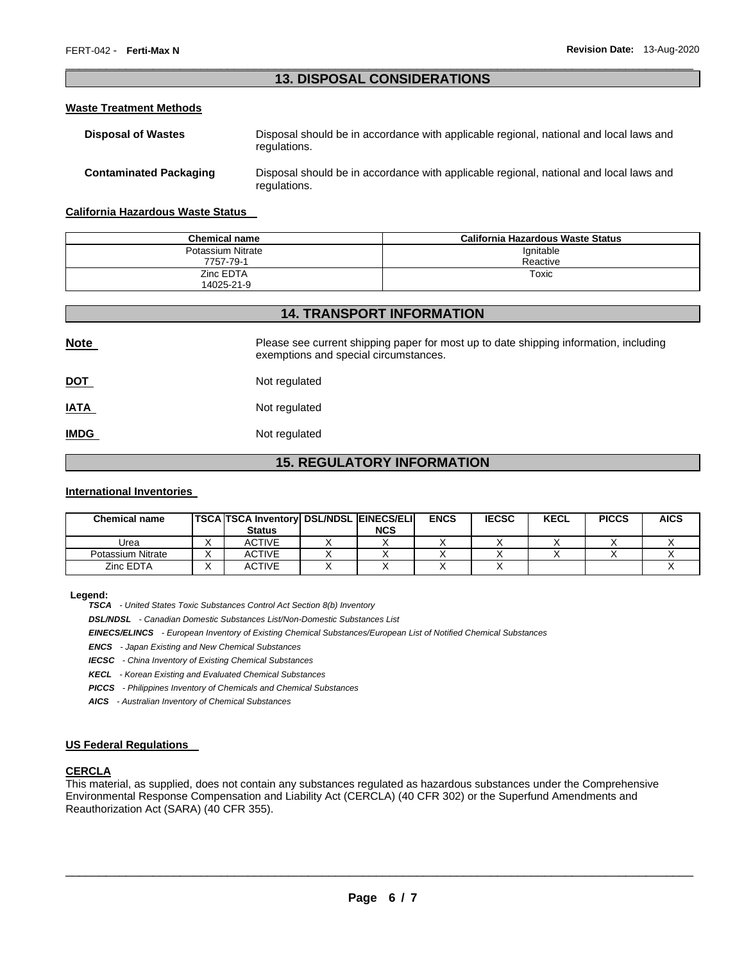# \_\_\_\_\_\_\_\_\_\_\_\_\_\_\_\_\_\_\_\_\_\_\_\_\_\_\_\_\_\_\_\_\_\_\_\_\_\_\_\_\_\_\_\_\_\_\_\_\_\_\_\_\_\_\_\_\_\_\_\_\_\_\_\_\_\_\_\_\_\_\_\_\_\_\_\_\_\_\_\_\_\_\_\_\_\_\_\_\_\_\_\_\_ **13. DISPOSAL CONSIDERATIONS**

### **Waste Treatment Methods**

| <b>Disposal of Wastes</b>     | Disposal should be in accordance with applicable regional, national and local laws and<br>regulations. |
|-------------------------------|--------------------------------------------------------------------------------------------------------|
| <b>Contaminated Packaging</b> | Disposal should be in accordance with applicable regional, national and local laws and<br>regulations. |

### **California Hazardous Waste Status**

| Chemical name     | California Hazardous Waste Status |
|-------------------|-----------------------------------|
| Potassium Nitrate | Ignitable                         |
| 7757-79-1         | Reactive                          |
| Zinc EDTA         | Toxic                             |
| 14025-21-9        |                                   |

# **14. TRANSPORT INFORMATION**

| <b>Note</b> | Please see current shipping paper for most up to date shipping information, including<br>exemptions and special circumstances. |
|-------------|--------------------------------------------------------------------------------------------------------------------------------|
| <u>DOT</u>  | Not regulated                                                                                                                  |
| <u>IATA</u> | Not regulated                                                                                                                  |
| <b>IMDG</b> | Not regulated                                                                                                                  |

# **15. REGULATORY INFORMATION**

### **International Inventories**

| <b>Chemical name</b> | <b>TSCA TSCA Inventory DSL/NDSL EINECS/ELI</b> |            | <b>ENCS</b> | <b>IECSC</b> | <b>KECL</b> | <b>PICCS</b> | <b>AICS</b> |
|----------------------|------------------------------------------------|------------|-------------|--------------|-------------|--------------|-------------|
|                      | <b>Status</b>                                  | <b>NCS</b> |             |              |             |              |             |
| Urea                 | ACTIVE                                         |            |             |              |             |              |             |
| Potassium Nitrate    | <b>ACTIVE</b>                                  |            |             |              |             |              |             |
| Zinc EDTA            | <b>ACTIVE</b>                                  |            |             |              |             |              |             |

### **Legend:**

*TSCA - United States Toxic Substances Control Act Section 8(b) Inventory* 

*DSL/NDSL - Canadian Domestic Substances List/Non-Domestic Substances List* 

*EINECS/ELINCS - European Inventory of Existing Chemical Substances/European List of Notified Chemical Substances* 

*ENCS - Japan Existing and New Chemical Substances* 

*IECSC - China Inventory of Existing Chemical Substances* 

*KECL - Korean Existing and Evaluated Chemical Substances* 

*PICCS - Philippines Inventory of Chemicals and Chemical Substances* 

*AICS - Australian Inventory of Chemical Substances* 

### **US Federal Regulations**

### **CERCLA**

This material, as supplied, does not contain any substances regulated as hazardous substances under the Comprehensive Environmental Response Compensation and Liability Act (CERCLA) (40 CFR 302) or the Superfund Amendments and Reauthorization Act (SARA) (40 CFR 355).